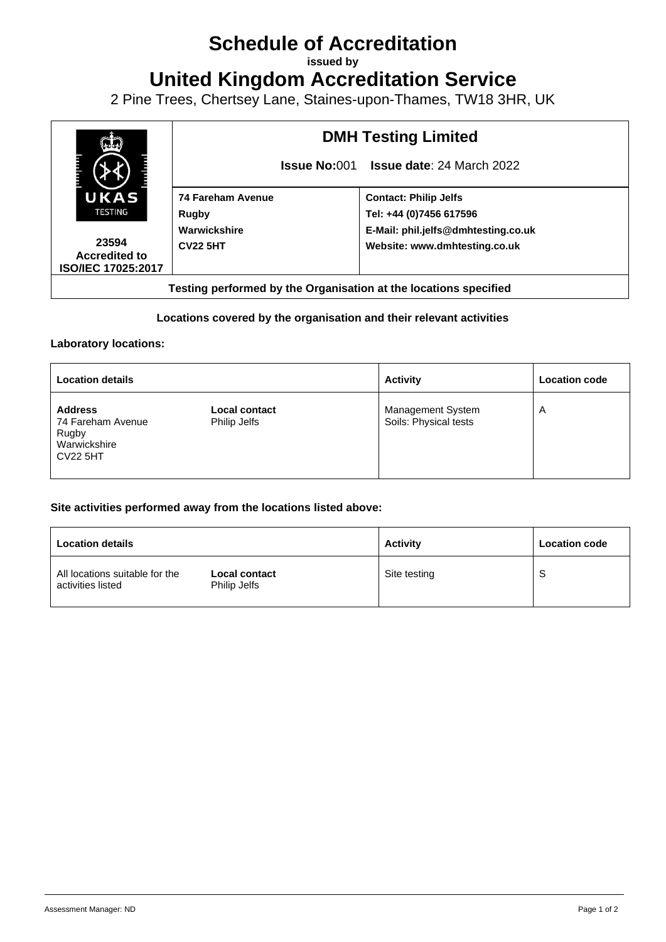## **Schedule of Accreditation**

**issued by**

**United Kingdom Accreditation Service**

2 Pine Trees, Chertsey Lane, Staines-upon-Thames, TW18 3HR, UK



#### **Locations covered by the organisation and their relevant activities**

#### **Laboratory locations:**

| <b>Location details</b>                                                         |                                      | <b>Activity</b>                            | <b>Location code</b> |
|---------------------------------------------------------------------------------|--------------------------------------|--------------------------------------------|----------------------|
| <b>Address</b><br>74 Fareham Avenue<br>Rugby<br>Warwickshire<br><b>CV22 5HT</b> | <b>Local contact</b><br>Philip Jelfs | Management System<br>Soils: Physical tests | A                    |

#### **Site activities performed away from the locations listed above:**

| <b>Location details</b>                             |                                      | <b>Activity</b> | <b>Location code</b> |
|-----------------------------------------------------|--------------------------------------|-----------------|----------------------|
| All locations suitable for the<br>activities listed | <b>Local contact</b><br>Philip Jelfs | Site testing    | S                    |